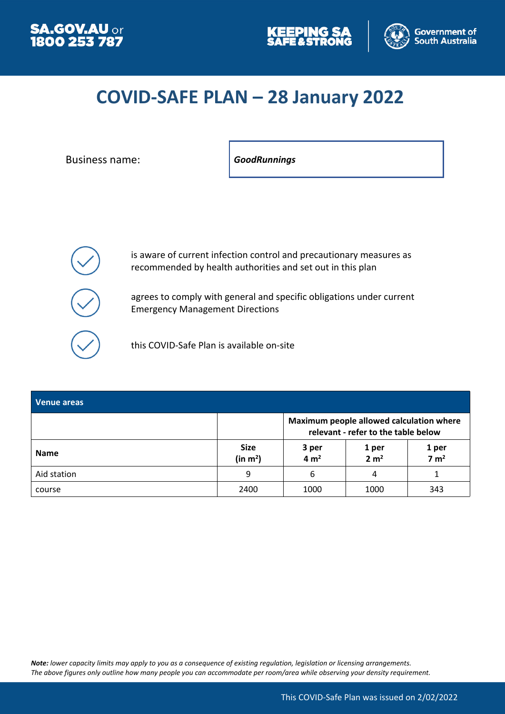





## **COVID-SAFE PLAN – 28 January 2022**

Business name: *GoodRunnings*



is aware of current infection control and precautionary measures as recommended by health authorities and set out in this plan

agrees to comply with general and specific obligations under current Emergency Management Directions

this COVID-Safe Plan is available on-site

| Venue areas |                                     |                                                                                 |                           |                           |
|-------------|-------------------------------------|---------------------------------------------------------------------------------|---------------------------|---------------------------|
|             |                                     | Maximum people allowed calculation where<br>relevant - refer to the table below |                           |                           |
| <b>Name</b> | <b>Size</b><br>(in m <sup>2</sup> ) | 3 per<br>4 m <sup>2</sup>                                                       | 1 per<br>2 m <sup>2</sup> | 1 per<br>7 m <sup>2</sup> |
| Aid station | 9                                   | 6                                                                               | 4                         |                           |
| course      | 2400                                | 1000                                                                            | 1000                      | 343                       |

*Note: lower capacity limits may apply to you as a consequence of existing regulation, legislation or licensing arrangements. The above figures only outline how many people you can accommodate per room/area while observing your density requirement.*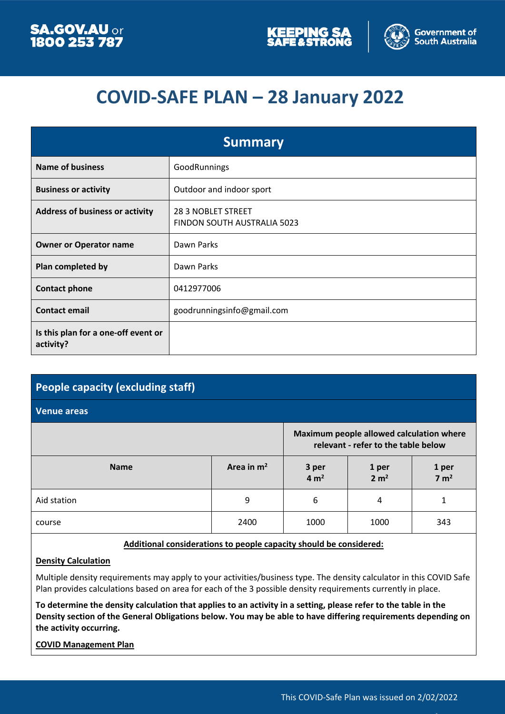



## **COVID-SAFE PLAN – 28 January 2022**

| <b>Summary</b>                                   |                                                          |  |  |
|--------------------------------------------------|----------------------------------------------------------|--|--|
| <b>Name of business</b>                          | GoodRunnings                                             |  |  |
| <b>Business or activity</b>                      | Outdoor and indoor sport                                 |  |  |
| <b>Address of business or activity</b>           | <b>28 3 NOBLET STREET</b><br>FINDON SOUTH AUSTRALIA 5023 |  |  |
| <b>Owner or Operator name</b>                    | Dawn Parks                                               |  |  |
| Plan completed by                                | Dawn Parks                                               |  |  |
| <b>Contact phone</b>                             | 0412977006                                               |  |  |
| <b>Contact email</b>                             | goodrunningsinfo@gmail.com                               |  |  |
| Is this plan for a one-off event or<br>activity? |                                                          |  |  |

# **People capacity (excluding staff)**

#### **Venue areas**

|             | Maximum people allowed calculation where<br>relevant - refer to the table below |                           |                           |                           |
|-------------|---------------------------------------------------------------------------------|---------------------------|---------------------------|---------------------------|
| <b>Name</b> | Area in $m2$                                                                    | 3 per<br>4 m <sup>2</sup> | 1 per<br>2 m <sup>2</sup> | 1 per<br>7 m <sup>2</sup> |
| Aid station | 9                                                                               | 6                         | 4                         |                           |
| course      | 2400                                                                            | 1000                      | 1000                      | 343                       |

#### **Additional considerations to people capacity should be considered:**

#### **Density Calculation**

Multiple density requirements may apply to your activities/business type. The density calculator in this COVID Safe Plan provides calculations based on area for each of the 3 possible density requirements currently in place.

**To determine the density calculation that applies to an activity in a setting, please refer to the table in the Density section of the General Obligations below. You may be able to have differing requirements depending on the activity occurring.**

#### **COVID Management Plan**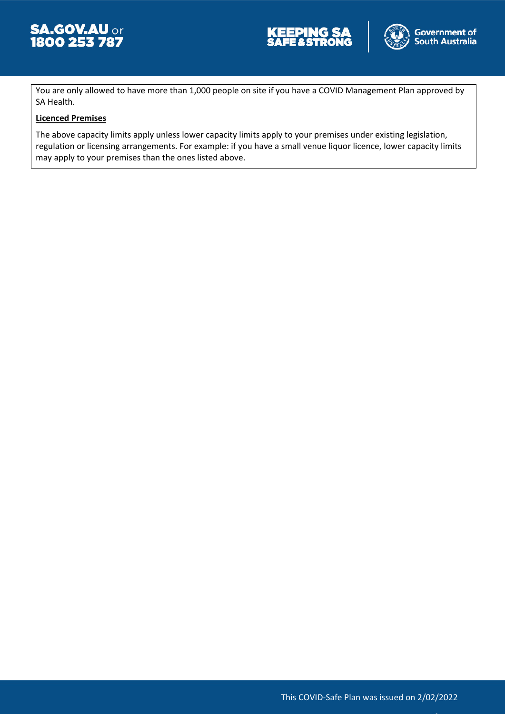





You are only allowed to have more than 1,000 people on site if you have a COVID Management Plan approved by SA Health.

#### **Licenced Premises**

The above capacity limits apply unless lower capacity limits apply to your premises under existing legislation, regulation or licensing arrangements. For example: if you have a small venue liquor licence, lower capacity limits may apply to your premises than the ones listed above.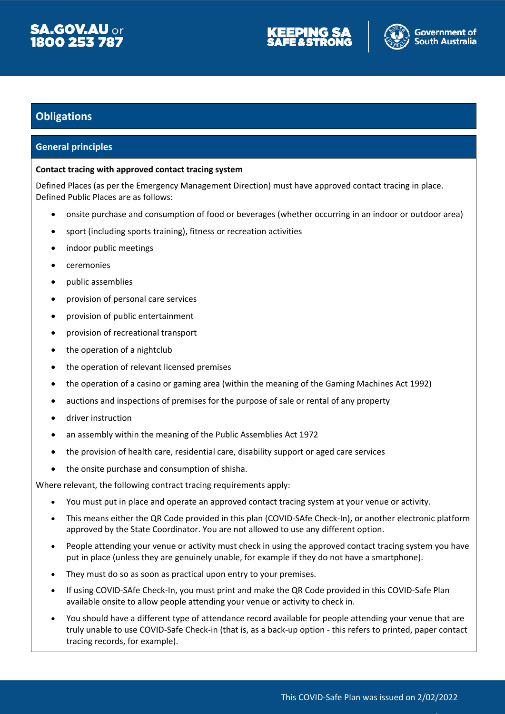





### **Obligations**

#### **General principles**

#### **Contact tracing with approved contact tracing system**

Defined Places (as per the Emergency Management Direction) must have approved contact tracing in place. Defined Public Places are as follows:

- onsite purchase and consumption of food or beverages (whether occurring in an indoor or outdoor area)
- sport (including sports training), fitness or recreation activities
- indoor public meetings
- ceremonies
- public assemblies
- provision of personal care services
- provision of public entertainment
- provision of recreational transport
- the operation of a nightclub
- the operation of relevant licensed premises
- the operation of a casino or gaming area (within the meaning of the Gaming Machines Act 1992)
- auctions and inspections of premises for the purpose of sale or rental of any property
- driver instruction
- an assembly within the meaning of the Public Assemblies Act 1972
- the provision of health care, residential care, disability support or aged care services
- the onsite purchase and consumption of shisha.

Where relevant, the following contract tracing requirements apply:

- You must put in place and operate an approved contact tracing system at your venue or activity.
- This means either the QR Code provided in this plan (COVID-SAfe Check-In), or another electronic platform approved by the State Coordinator. You are not allowed to use any different option.
- People attending your venue or activity must check in using the approved contact tracing system you have put in place (unless they are genuinely unable, for example if they do not have a smartphone).
- They must do so as soon as practical upon entry to your premises.
- If using COVID-SAfe Check-In, you must print and make the QR Code provided in this COVID-Safe Plan available onsite to allow people attending your venue or activity to check in.
- You should have a different type of attendance record available for people attending your venue that are truly unable to use COVID-Safe Check-in (that is, as a back-up option - this refers to printed, paper contact tracing records, for example).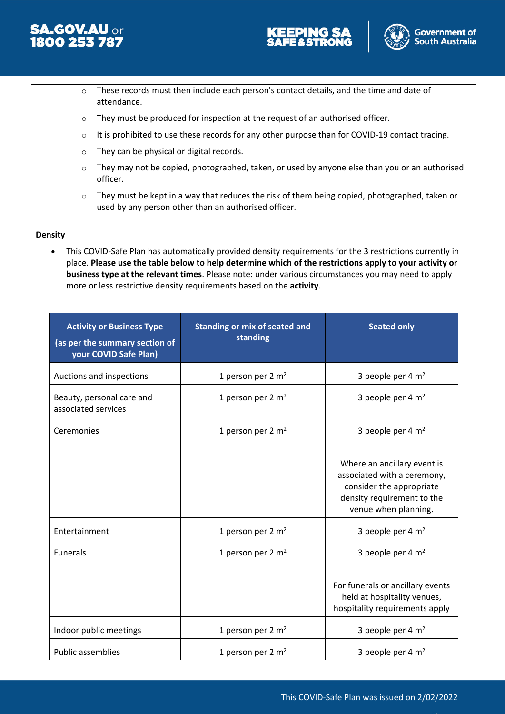





- o These records must then include each person's contact details, and the time and date of attendance.
- o They must be produced for inspection at the request of an authorised officer.
- o It is prohibited to use these records for any other purpose than for COVID-19 contact tracing.
- o They can be physical or digital records.
- $\circ$  They may not be copied, photographed, taken, or used by anyone else than you or an authorised officer.
- o They must be kept in a way that reduces the risk of them being copied, photographed, taken or used by any person other than an authorised officer.

#### **Density**

 This COVID-Safe Plan has automatically provided density requirements for the 3 restrictions currently in place. **Please use the table below to help determine which of the restrictions apply to your activity or business type at the relevant times**. Please note: under various circumstances you may need to apply more or less restrictive density requirements based on the **activity**.

| <b>Activity or Business Type</b><br>(as per the summary section of<br>your COVID Safe Plan) | <b>Standing or mix of seated and</b><br>standing |                                                                                                                                              |
|---------------------------------------------------------------------------------------------|--------------------------------------------------|----------------------------------------------------------------------------------------------------------------------------------------------|
| Auctions and inspections                                                                    | 1 person per $2 \text{ m}^2$                     | 3 people per $4 \text{ m}^2$                                                                                                                 |
| Beauty, personal care and<br>associated services                                            | 1 person per $2 \text{ m}^2$                     | 3 people per $4 \text{ m}^2$                                                                                                                 |
| Ceremonies                                                                                  | 1 person per $2 \text{ m}^2$                     | 3 people per $4 \text{ m}^2$                                                                                                                 |
|                                                                                             |                                                  | Where an ancillary event is<br>associated with a ceremony,<br>consider the appropriate<br>density requirement to the<br>venue when planning. |
| Entertainment                                                                               | 1 person per 2 m <sup>2</sup>                    | 3 people per 4 m <sup>2</sup>                                                                                                                |
| <b>Funerals</b>                                                                             | 1 person per 2 m <sup>2</sup>                    | 3 people per 4 m <sup>2</sup>                                                                                                                |
|                                                                                             |                                                  | For funerals or ancillary events<br>held at hospitality venues,<br>hospitality requirements apply                                            |
| Indoor public meetings                                                                      | 1 person per 2 m <sup>2</sup>                    | 3 people per 4 m <sup>2</sup>                                                                                                                |
| <b>Public assemblies</b>                                                                    | 1 person per 2 m <sup>2</sup>                    | 3 people per 4 m <sup>2</sup>                                                                                                                |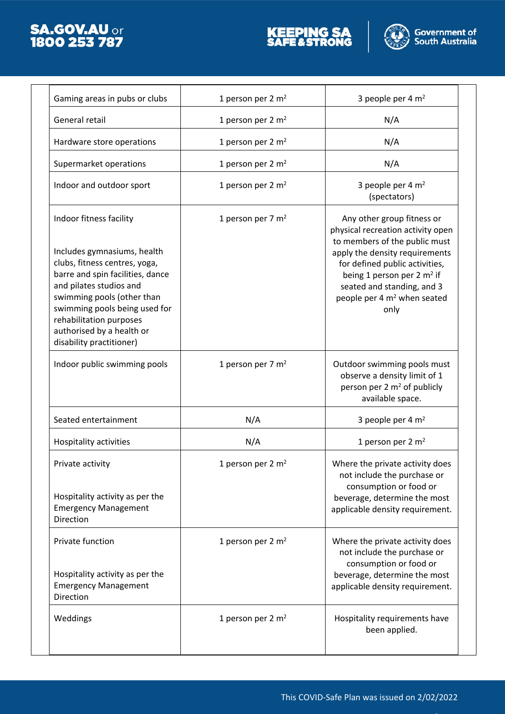





| Gaming areas in pubs or clubs                                                                                                                                                                                                                                                                             | 1 person per 2 m <sup>2</sup> | 3 people per 4 m <sup>2</sup>                                                                                                                                                                                                                                                         |
|-----------------------------------------------------------------------------------------------------------------------------------------------------------------------------------------------------------------------------------------------------------------------------------------------------------|-------------------------------|---------------------------------------------------------------------------------------------------------------------------------------------------------------------------------------------------------------------------------------------------------------------------------------|
| General retail                                                                                                                                                                                                                                                                                            | 1 person per 2 m <sup>2</sup> | N/A                                                                                                                                                                                                                                                                                   |
| Hardware store operations                                                                                                                                                                                                                                                                                 | 1 person per 2 m <sup>2</sup> | N/A                                                                                                                                                                                                                                                                                   |
| Supermarket operations                                                                                                                                                                                                                                                                                    | 1 person per 2 m <sup>2</sup> | N/A                                                                                                                                                                                                                                                                                   |
| Indoor and outdoor sport                                                                                                                                                                                                                                                                                  | 1 person per 2 m <sup>2</sup> | 3 people per 4 m <sup>2</sup><br>(spectators)                                                                                                                                                                                                                                         |
| Indoor fitness facility<br>Includes gymnasiums, health<br>clubs, fitness centres, yoga,<br>barre and spin facilities, dance<br>and pilates studios and<br>swimming pools (other than<br>swimming pools being used for<br>rehabilitation purposes<br>authorised by a health or<br>disability practitioner) | 1 person per 7 m <sup>2</sup> | Any other group fitness or<br>physical recreation activity open<br>to members of the public must<br>apply the density requirements<br>for defined public activities,<br>being 1 person per 2 $m2$ if<br>seated and standing, and 3<br>people per 4 m <sup>2</sup> when seated<br>only |
| Indoor public swimming pools                                                                                                                                                                                                                                                                              | 1 person per 7 m <sup>2</sup> | Outdoor swimming pools must<br>observe a density limit of 1<br>person per 2 m <sup>2</sup> of publicly<br>available space.                                                                                                                                                            |
| Seated entertainment                                                                                                                                                                                                                                                                                      | N/A                           | 3 people per 4 m <sup>2</sup>                                                                                                                                                                                                                                                         |
| Hospitality activities                                                                                                                                                                                                                                                                                    | N/A                           | 1 person per 2 m <sup>2</sup>                                                                                                                                                                                                                                                         |
| Private activity<br>Hospitality activity as per the<br><b>Emergency Management</b><br>Direction                                                                                                                                                                                                           | 1 person per 2 m <sup>2</sup> | Where the private activity does<br>not include the purchase or<br>consumption or food or<br>beverage, determine the most<br>applicable density requirement.                                                                                                                           |
| Private function<br>Hospitality activity as per the<br><b>Emergency Management</b><br>Direction                                                                                                                                                                                                           | 1 person per 2 m <sup>2</sup> | Where the private activity does<br>not include the purchase or<br>consumption or food or<br>beverage, determine the most<br>applicable density requirement.                                                                                                                           |
|                                                                                                                                                                                                                                                                                                           |                               |                                                                                                                                                                                                                                                                                       |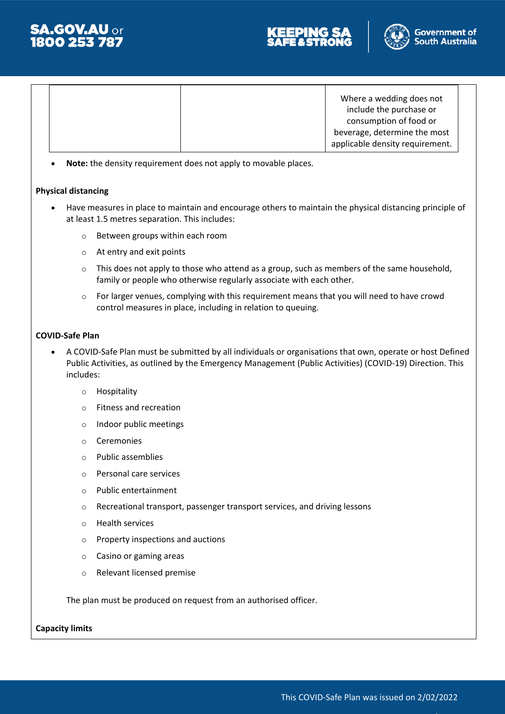





Where a wedding does not include the purchase or consumption of food or beverage, determine the most applicable density requirement.

**Note:** the density requirement does not apply to movable places.

#### **Physical distancing**

- Have measures in place to maintain and encourage others to maintain the physical distancing principle of at least 1.5 metres separation. This includes:
	- o Between groups within each room
	- o At entry and exit points
	- $\circ$  This does not apply to those who attend as a group, such as members of the same household, family or people who otherwise regularly associate with each other.
	- $\circ$  For larger venues, complying with this requirement means that you will need to have crowd control measures in place, including in relation to queuing.

#### **COVID-Safe Plan**

- A COVID-Safe Plan must be submitted by all individuals or organisations that own, operate or host Defined Public Activities, as outlined by the Emergency Management (Public Activities) (COVID-19) Direction. This includes:
	- o Hospitality
	- o Fitness and recreation
	- o Indoor public meetings
	- o Ceremonies
	- o Public assemblies
	- o Personal care services
	- o Public entertainment
	- o Recreational transport, passenger transport services, and driving lessons
	- o Health services
	- o Property inspections and auctions
	- o Casino or gaming areas
	- o Relevant licensed premise

The plan must be produced on request from an authorised officer.

**Capacity limits**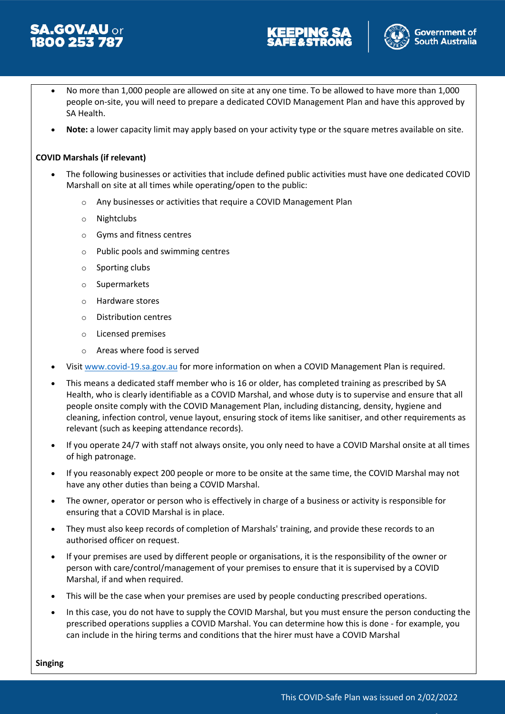





- No more than 1,000 people are allowed on site at any one time. To be allowed to have more than 1,000 people on-site, you will need to prepare a dedicated COVID Management Plan and have this approved by SA Health.
- **Note:** a lower capacity limit may apply based on your activity type or the square metres available on site.

#### **COVID Marshals (if relevant)**

- The following businesses or activities that include defined public activities must have one dedicated COVID Marshall on site at all times while operating/open to the public:
	- o Any businesses or activities that require a COVID Management Plan
	- o Nightclubs
	- o Gyms and fitness centres
	- o Public pools and swimming centres
	- o Sporting clubs
	- o Supermarkets
	- o Hardware stores
	- o Distribution centres
	- o Licensed premises
	- o Areas where food is served
- Visit [www.covid-19.sa.gov.au](http://www.covid-19.sa.gov.au/) for more information on when a COVID Management Plan is required.
- This means a dedicated staff member who is 16 or older, has completed training as prescribed by SA Health, who is clearly identifiable as a COVID Marshal, and whose duty is to supervise and ensure that all people onsite comply with the COVID Management Plan, including distancing, density, hygiene and cleaning, infection control, venue layout, ensuring stock of items like sanitiser, and other requirements as relevant (such as keeping attendance records).
- If you operate 24/7 with staff not always onsite, you only need to have a COVID Marshal onsite at all times of high patronage.
- If you reasonably expect 200 people or more to be onsite at the same time, the COVID Marshal may not have any other duties than being a COVID Marshal.
- The owner, operator or person who is effectively in charge of a business or activity is responsible for ensuring that a COVID Marshal is in place.
- They must also keep records of completion of Marshals' training, and provide these records to an authorised officer on request.
- If your premises are used by different people or organisations, it is the responsibility of the owner or person with care/control/management of your premises to ensure that it is supervised by a COVID Marshal, if and when required.
- This will be the case when your premises are used by people conducting prescribed operations.
- In this case, you do not have to supply the COVID Marshal, but you must ensure the person conducting the prescribed operations supplies a COVID Marshal. You can determine how this is done - for example, you can include in the hiring terms and conditions that the hirer must have a COVID Marshal

**Singing**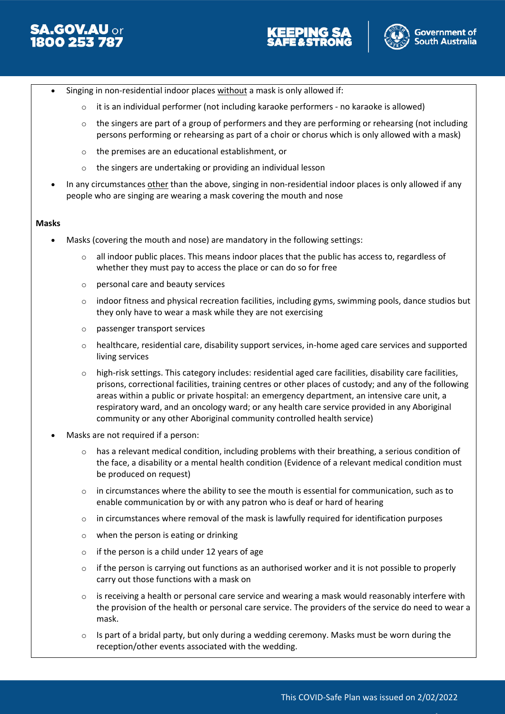





- Singing in non-residential indoor places without a mask is only allowed if:
	- it is an individual performer (not including karaoke performers no karaoke is allowed)
	- $\circ$  the singers are part of a group of performers and they are performing or rehearsing (not including persons performing or rehearsing as part of a choir or chorus which is only allowed with a mask)
	- o the premises are an educational establishment, or
	- the singers are undertaking or providing an individual lesson
- In any circumstances other than the above, singing in non-residential indoor places is only allowed if any people who are singing are wearing a mask covering the mouth and nose

#### **Masks**

- Masks (covering the mouth and nose) are mandatory in the following settings:
	- $\circ$  all indoor public places. This means indoor places that the public has access to, regardless of whether they must pay to access the place or can do so for free
	- o personal care and beauty services
	- $\circ$  indoor fitness and physical recreation facilities, including gyms, swimming pools, dance studios but they only have to wear a mask while they are not exercising
	- o passenger transport services
	- o healthcare, residential care, disability support services, in-home aged care services and supported living services
	- $\circ$  high-risk settings. This category includes: residential aged care facilities, disability care facilities, prisons, correctional facilities, training centres or other places of custody; and any of the following areas within a public or private hospital: an emergency department, an intensive care unit, a respiratory ward, and an oncology ward; or any health care service provided in any Aboriginal community or any other Aboriginal community controlled health service)
- Masks are not required if a person:
	- $\circ$  has a relevant medical condition, including problems with their breathing, a serious condition of the face, a disability or a mental health condition (Evidence of a relevant medical condition must be produced on request)
	- $\circ$  in circumstances where the ability to see the mouth is essential for communication, such as to enable communication by or with any patron who is deaf or hard of hearing
	- $\circ$  in circumstances where removal of the mask is lawfully required for identification purposes
	- o when the person is eating or drinking
	- $\circ$  if the person is a child under 12 years of age
	- $\circ$  if the person is carrying out functions as an authorised worker and it is not possible to properly carry out those functions with a mask on
	- $\circ$  is receiving a health or personal care service and wearing a mask would reasonably interfere with the provision of the health or personal care service. The providers of the service do need to wear a mask.
	- $\circ$  Is part of a bridal party, but only during a wedding ceremony. Masks must be worn during the reception/other events associated with the wedding.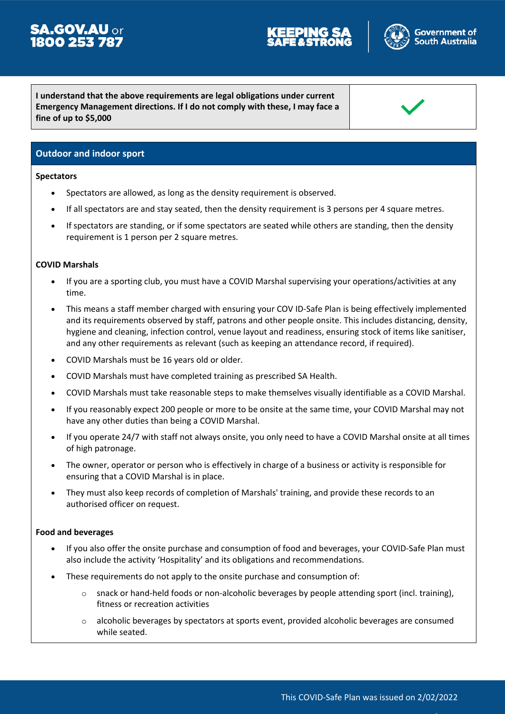# **SA.GOV.AU** or<br>**1800 253 787**



**I understand that the above requirements are legal obligations under current Emergency Management directions. If I do not comply with these, I may face a fine of up to \$5,000**

#### **Outdoor and indoor sport**

#### **Spectators**

- Spectators are allowed, as long as the density requirement is observed.
- If all spectators are and stay seated, then the density requirement is 3 persons per 4 square metres.
- If spectators are standing, or if some spectators are seated while others are standing, then the density requirement is 1 person per 2 square metres.

#### **COVID Marshals**

- If you are a sporting club, you must have a COVID Marshal supervising your operations/activities at any time.
- This means a staff member charged with ensuring your COV ID-Safe Plan is being effectively implemented and its requirements observed by staff, patrons and other people onsite. This includes distancing, density, hygiene and cleaning, infection control, venue layout and readiness, ensuring stock of items like sanitiser, and any other requirements as relevant (such as keeping an attendance record, if required).
- COVID Marshals must be 16 years old or older.
- COVID Marshals must have completed training as prescribed SA Health.
- COVID Marshals must take reasonable steps to make themselves visually identifiable as a COVID Marshal.
- If you reasonably expect 200 people or more to be onsite at the same time, your COVID Marshal may not have any other duties than being a COVID Marshal.
- If you operate 24/7 with staff not always onsite, you only need to have a COVID Marshal onsite at all times of high patronage.
- The owner, operator or person who is effectively in charge of a business or activity is responsible for ensuring that a COVID Marshal is in place.
- They must also keep records of completion of Marshals' training, and provide these records to an authorised officer on request.

#### **Food and beverages**

- If you also offer the onsite purchase and consumption of food and beverages, your COVID-Safe Plan must also include the activity 'Hospitality' and its obligations and recommendations.
- These requirements do not apply to the onsite purchase and consumption of:
	- $\circ$  snack or hand-held foods or non-alcoholic beverages by people attending sport (incl. training), fitness or recreation activities
	- $\circ$  alcoholic beverages by spectators at sports event, provided alcoholic beverages are consumed while seated.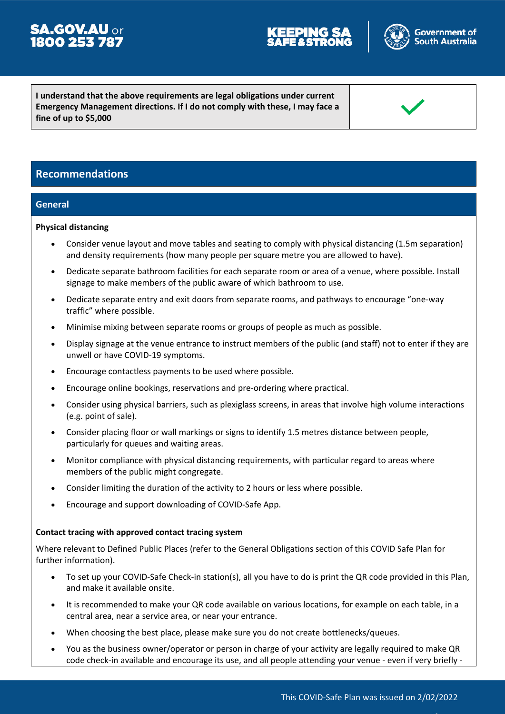# **SA.GOV.AU or**<br>**1800 253 787**



**I understand that the above requirements are legal obligations under current Emergency Management directions. If I do not comply with these, I may face a fine of up to \$5,000**

### **Recommendations**

#### **General**

#### **Physical distancing**

- Consider venue layout and move tables and seating to comply with physical distancing (1.5m separation) and density requirements (how many people per square metre you are allowed to have).
- Dedicate separate bathroom facilities for each separate room or area of a venue, where possible. Install signage to make members of the public aware of which bathroom to use.
- Dedicate separate entry and exit doors from separate rooms, and pathways to encourage "one-way traffic" where possible.
- Minimise mixing between separate rooms or groups of people as much as possible.
- Display signage at the venue entrance to instruct members of the public (and staff) not to enter if they are unwell or have COVID-19 symptoms.
- Encourage contactless payments to be used where possible.
- Encourage online bookings, reservations and pre-ordering where practical.
- Consider using physical barriers, such as plexiglass screens, in areas that involve high volume interactions (e.g. point of sale).
- Consider placing floor or wall markings or signs to identify 1.5 metres distance between people, particularly for queues and waiting areas.
- Monitor compliance with physical distancing requirements, with particular regard to areas where members of the public might congregate.
- Consider limiting the duration of the activity to 2 hours or less where possible.
- Encourage and support downloading of COVID-Safe App.

#### **Contact tracing with approved contact tracing system**

Where relevant to Defined Public Places (refer to the General Obligations section of this COVID Safe Plan for further information).

- To set up your COVID-Safe Check-in station(s), all you have to do is print the QR code provided in this Plan, and make it available onsite.
- It is recommended to make your QR code available on various locations, for example on each table, in a central area, near a service area, or near your entrance.
- When choosing the best place, please make sure you do not create bottlenecks/queues.
- You as the business owner/operator or person in charge of your activity are legally required to make QR code check-in available and encourage its use, and all people attending your venue - even if very briefly -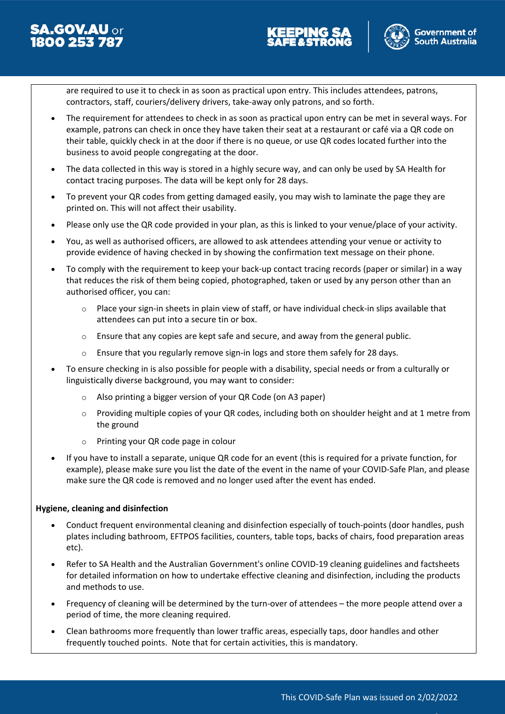





are required to use it to check in as soon as practical upon entry. This includes attendees, patrons, contractors, staff, couriers/delivery drivers, take-away only patrons, and so forth.

- The requirement for attendees to check in as soon as practical upon entry can be met in several ways. For example, patrons can check in once they have taken their seat at a restaurant or café via a QR code on their table, quickly check in at the door if there is no queue, or use QR codes located further into the business to avoid people congregating at the door.
- The data collected in this way is stored in a highly secure way, and can only be used by SA Health for contact tracing purposes. The data will be kept only for 28 days.
- To prevent your QR codes from getting damaged easily, you may wish to laminate the page they are printed on. This will not affect their usability.
- Please only use the QR code provided in your plan, as this is linked to your venue/place of your activity.
- You, as well as authorised officers, are allowed to ask attendees attending your venue or activity to provide evidence of having checked in by showing the confirmation text message on their phone.
- To comply with the requirement to keep your back-up contact tracing records (paper or similar) in a way that reduces the risk of them being copied, photographed, taken or used by any person other than an authorised officer, you can:
	- Place your sign-in sheets in plain view of staff, or have individual check-in slips available that attendees can put into a secure tin or box.
	- $\circ$  Ensure that any copies are kept safe and secure, and away from the general public.
	- $\circ$  Ensure that you regularly remove sign-in logs and store them safely for 28 days.
- To ensure checking in is also possible for people with a disability, special needs or from a culturally or linguistically diverse background, you may want to consider:
	- o Also printing a bigger version of your QR Code (on A3 paper)
	- $\circ$  Providing multiple copies of your QR codes, including both on shoulder height and at 1 metre from the ground
	- o Printing your QR code page in colour
- If you have to install a separate, unique QR code for an event (this is required for a private function, for example), please make sure you list the date of the event in the name of your COVID-Safe Plan, and please make sure the QR code is removed and no longer used after the event has ended.

#### **Hygiene, cleaning and disinfection**

- Conduct frequent environmental cleaning and disinfection especially of touch-points (door handles, push plates including bathroom, EFTPOS facilities, counters, table tops, backs of chairs, food preparation areas etc).
- Refer to SA Health and the Australian Government's online COVID-19 cleaning guidelines and factsheets for detailed information on how to undertake effective cleaning and disinfection, including the products and methods to use.
- Frequency of cleaning will be determined by the turn-over of attendees the more people attend over a period of time, the more cleaning required.
- Clean bathrooms more frequently than lower traffic areas, especially taps, door handles and other frequently touched points. Note that for certain activities, this is mandatory.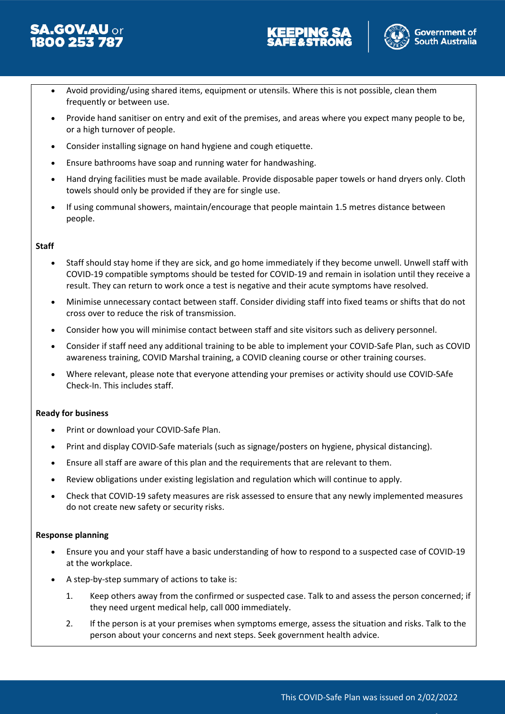





- Avoid providing/using shared items, equipment or utensils. Where this is not possible, clean them frequently or between use.
- Provide hand sanitiser on entry and exit of the premises, and areas where you expect many people to be, or a high turnover of people.
- Consider installing signage on hand hygiene and cough etiquette.
- Ensure bathrooms have soap and running water for handwashing.
- Hand drying facilities must be made available. Provide disposable paper towels or hand dryers only. Cloth towels should only be provided if they are for single use.
- If using communal showers, maintain/encourage that people maintain 1.5 metres distance between people.

#### **Staff**

- Staff should stay home if they are sick, and go home immediately if they become unwell. Unwell staff with COVID-19 compatible symptoms should be tested for COVID-19 and remain in isolation until they receive a result. They can return to work once a test is negative and their acute symptoms have resolved.
- Minimise unnecessary contact between staff. Consider dividing staff into fixed teams or shifts that do not cross over to reduce the risk of transmission.
- Consider how you will minimise contact between staff and site visitors such as delivery personnel.
- Consider if staff need any additional training to be able to implement your COVID-Safe Plan, such as COVID awareness training, COVID Marshal training, a COVID cleaning course or other training courses.
- Where relevant, please note that everyone attending your premises or activity should use COVID-SAfe Check-In. This includes staff.

#### **Ready for business**

- Print or download your COVID-Safe Plan.
- Print and display COVID-Safe materials (such as signage/posters on hygiene, physical distancing).
- Ensure all staff are aware of this plan and the requirements that are relevant to them.
- Review obligations under existing legislation and regulation which will continue to apply.
- Check that COVID-19 safety measures are risk assessed to ensure that any newly implemented measures do not create new safety or security risks.

#### **Response planning**

- Ensure you and your staff have a basic understanding of how to respond to a suspected case of COVID-19 at the workplace.
- A step-by-step summary of actions to take is:
	- 1. Keep others away from the confirmed or suspected case. Talk to and assess the person concerned; if they need urgent medical help, call 000 immediately.
	- 2. If the person is at your premises when symptoms emerge, assess the situation and risks. Talk to the person about your concerns and next steps. Seek government health advice.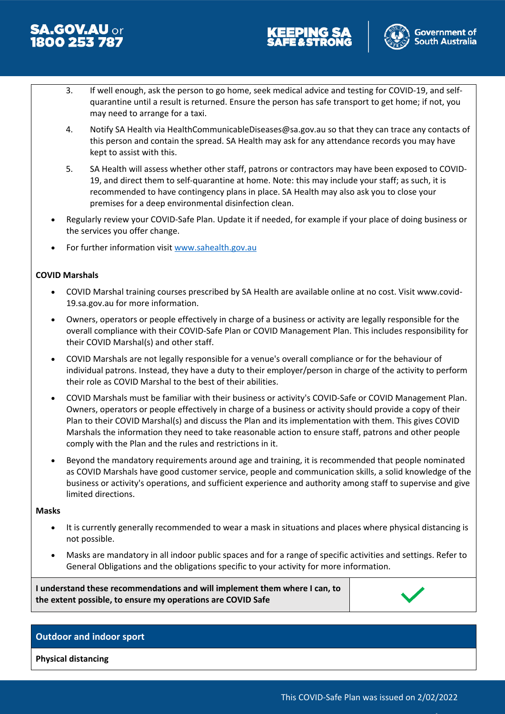





- 3. If well enough, ask the person to go home, seek medical advice and testing for COVID-19, and selfquarantine until a result is returned. Ensure the person has safe transport to get home; if not, you may need to arrange for a taxi.
- 4. Notify SA Health via HealthCommunicableDiseases@sa.gov.au so that they can trace any contacts of this person and contain the spread. SA Health may ask for any attendance records you may have kept to assist with this.
- 5. SA Health will assess whether other staff, patrons or contractors may have been exposed to COVID-19, and direct them to self-quarantine at home. Note: this may include your staff; as such, it is recommended to have contingency plans in place. SA Health may also ask you to close your premises for a deep environmental disinfection clean.
- Regularly review your COVID-Safe Plan. Update it if needed, for example if your place of doing business or the services you offer change.
- For further information visit [www.sahealth.gov.au](http://www.sahealth.gov.au/)

#### **COVID Marshals**

- COVID Marshal training courses prescribed by SA Health are available online at no cost. Visit www.covid-19.sa.gov.au for more information.
- Owners, operators or people effectively in charge of a business or activity are legally responsible for the overall compliance with their COVID-Safe Plan or COVID Management Plan. This includes responsibility for their COVID Marshal(s) and other staff.
- COVID Marshals are not legally responsible for a venue's overall compliance or for the behaviour of individual patrons. Instead, they have a duty to their employer/person in charge of the activity to perform their role as COVID Marshal to the best of their abilities.
- COVID Marshals must be familiar with their business or activity's COVID-Safe or COVID Management Plan. Owners, operators or people effectively in charge of a business or activity should provide a copy of their Plan to their COVID Marshal(s) and discuss the Plan and its implementation with them. This gives COVID Marshals the information they need to take reasonable action to ensure staff, patrons and other people comply with the Plan and the rules and restrictions in it.
- Beyond the mandatory requirements around age and training, it is recommended that people nominated as COVID Marshals have good customer service, people and communication skills, a solid knowledge of the business or activity's operations, and sufficient experience and authority among staff to supervise and give limited directions.

#### **Masks**

- It is currently generally recommended to wear a mask in situations and places where physical distancing is not possible.
- Masks are mandatory in all indoor public spaces and for a range of specific activities and settings. Refer to General Obligations and the obligations specific to your activity for more information.

**I understand these recommendations and will implement them where I can, to the extent possible, to ensure my operations are COVID Safe**



#### **Outdoor and indoor sport**

**Physical distancing**